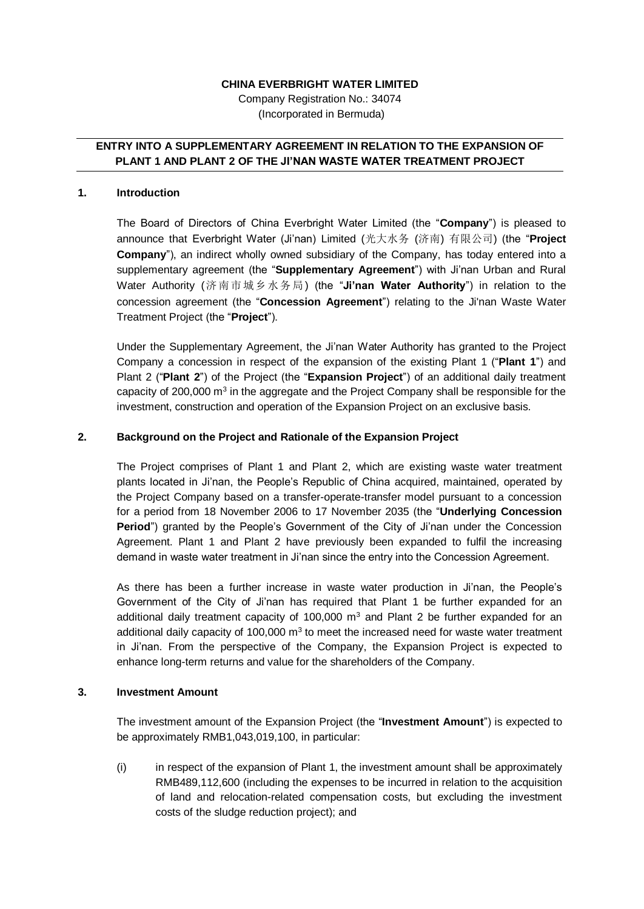# **CHINA EVERBRIGHT WATER LIMITED**

Company Registration No.: 34074 (Incorporated in Bermuda)

# **ENTRY INTO A SUPPLEMENTARY AGREEMENT IN RELATION TO THE EXPANSION OF PLANT 1 AND PLANT 2 OF THE JI'NAN WASTE WATER TREATMENT PROJECT**

#### **1. Introduction**

The Board of Directors of China Everbright Water Limited (the "**Company**") is pleased to announce that Everbright Water (Ji'nan) Limited (光大水务 (济南) 有限公司) (the "**Project Company**"), an indirect wholly owned subsidiary of the Company, has today entered into a supplementary agreement (the "**Supplementary Agreement**") with Ji'nan Urban and Rural Water Authority (济南市城乡水务局) (the "**Ji'nan Water Authority**") in relation to the concession agreement (the "**Concession Agreement**") relating to the Ji'nan Waste Water Treatment Project (the "**Project**").

Under the Supplementary Agreement, the Ji'nan Water Authority has granted to the Project Company a concession in respect of the expansion of the existing Plant 1 ("**Plant 1**") and Plant 2 ("**Plant 2**") of the Project (the "**Expansion Project**") of an additional daily treatment capacity of 200,000  $m<sup>3</sup>$  in the aggregate and the Project Company shall be responsible for the investment, construction and operation of the Expansion Project on an exclusive basis.

### **2. Background on the Project and Rationale of the Expansion Project**

The Project comprises of Plant 1 and Plant 2, which are existing waste water treatment plants located in Ji'nan, the People's Republic of China acquired, maintained, operated by the Project Company based on a transfer-operate-transfer model pursuant to a concession for a period from 18 November 2006 to 17 November 2035 (the "**Underlying Concession Period**") granted by the People's Government of the City of Ji'nan under the Concession Agreement. Plant 1 and Plant 2 have previously been expanded to fulfil the increasing demand in waste water treatment in Ji'nan since the entry into the Concession Agreement.

As there has been a further increase in waste water production in Ji'nan, the People's Government of the City of Ji'nan has required that Plant 1 be further expanded for an additional daily treatment capacity of 100,000  $m<sup>3</sup>$  and Plant 2 be further expanded for an additional daily capacity of 100,000  $m<sup>3</sup>$  to meet the increased need for waste water treatment in Ji'nan. From the perspective of the Company, the Expansion Project is expected to enhance long-term returns and value for the shareholders of the Company.

# **3. Investment Amount**

The investment amount of the Expansion Project (the "**Investment Amount**") is expected to be approximately RMB1,043,019,100, in particular:

(i) in respect of the expansion of Plant 1, the investment amount shall be approximately RMB489,112,600 (including the expenses to be incurred in relation to the acquisition of land and relocation-related compensation costs, but excluding the investment costs of the sludge reduction project); and